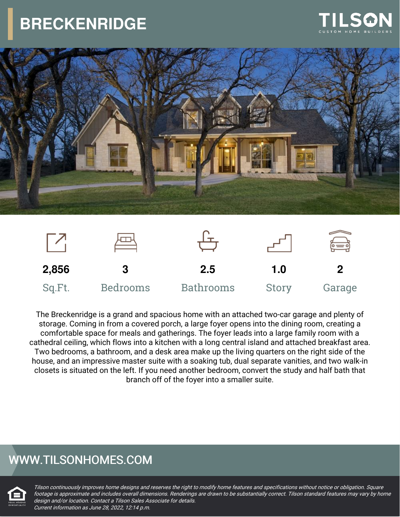





The Breckenridge is a grand and spacious home with an attached two-car garage and plenty of storage. Coming in from a covered porch, a large foyer opens into the dining room, creating a comfortable space for meals and gatherings. The foyer leads into a large family room with a cathedral ceiling, which flows into a kitchen with a long central island and attached breakfast area. Two bedrooms, a bathroom, and a desk area make up the living quarters on the right side of the house, and an impressive master suite with a soaking tub, dual separate vanities, and two walk-in closets is situated on the left. If you need another bedroom, convert the study and half bath that branch off of the foyer into a smaller suite.

### WWW.TILSONHOMES.COM

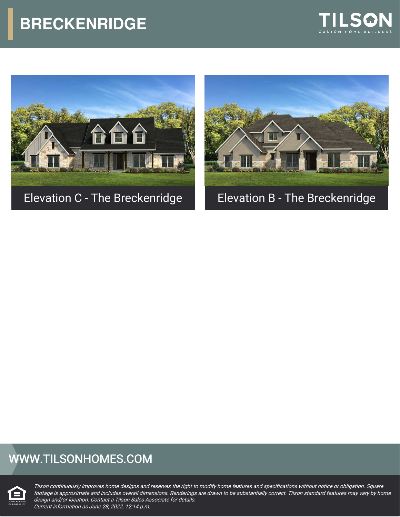





### WWW.TILSONHOMES.COM

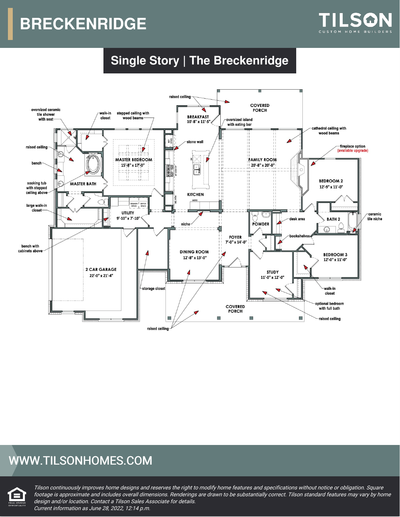

### **Single Story | The Breckenridge**



#### WWW.TILSONHOMES.COM